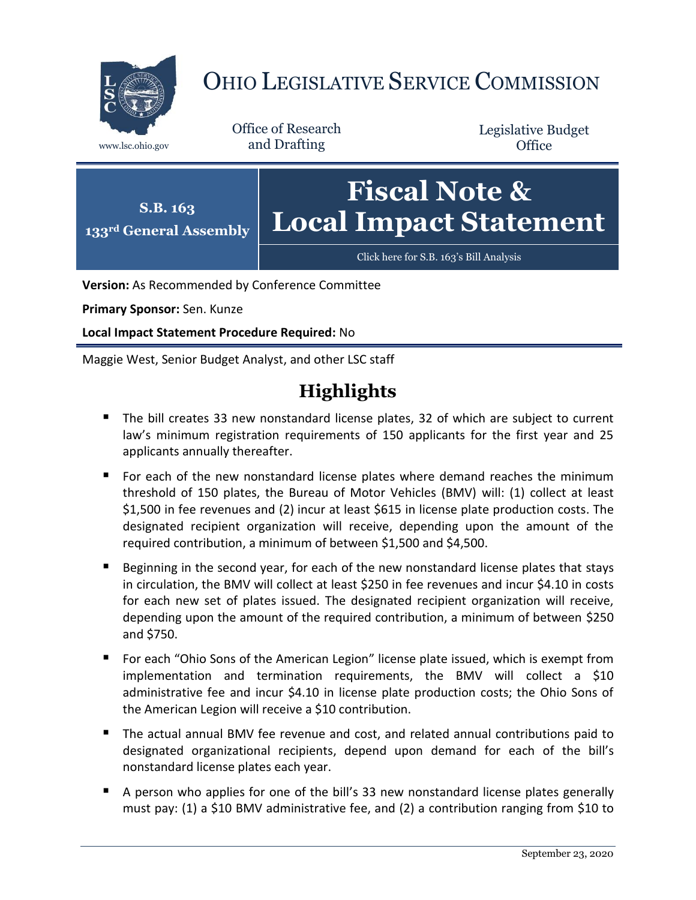

# OHIO LEGISLATIVE SERVICE COMMISSION

Office of Research www.lsc.ohio.gov and Drafting

Legislative Budget **Office** 



**Version:** As Recommended by Conference Committee

**Primary Sponsor:** Sen. Kunze

**Local Impact Statement Procedure Required:** No

Maggie West, Senior Budget Analyst, and other LSC staff

# **Highlights**

- The bill creates 33 new nonstandard license plates, 32 of which are subject to current law's minimum registration requirements of 150 applicants for the first year and 25 applicants annually thereafter.
- For each of the new nonstandard license plates where demand reaches the minimum threshold of 150 plates, the Bureau of Motor Vehicles (BMV) will: (1) collect at least \$1,500 in fee revenues and (2) incur at least \$615 in license plate production costs. The designated recipient organization will receive, depending upon the amount of the required contribution, a minimum of between \$1,500 and \$4,500.
- **Beginning in the second year, for each of the new nonstandard license plates that stays** in circulation, the BMV will collect at least \$250 in fee revenues and incur \$4.10 in costs for each new set of plates issued. The designated recipient organization will receive, depending upon the amount of the required contribution, a minimum of between \$250 and \$750.
- For each "Ohio Sons of the American Legion" license plate issued, which is exempt from implementation and termination requirements, the BMV will collect a \$10 administrative fee and incur \$4.10 in license plate production costs; the Ohio Sons of the American Legion will receive a \$10 contribution.
- The actual annual BMV fee revenue and cost, and related annual contributions paid to designated organizational recipients, depend upon demand for each of the bill's nonstandard license plates each year.
- A person who applies for one of the bill's 33 new nonstandard license plates generally must pay: (1) a \$10 BMV administrative fee, and (2) a contribution ranging from \$10 to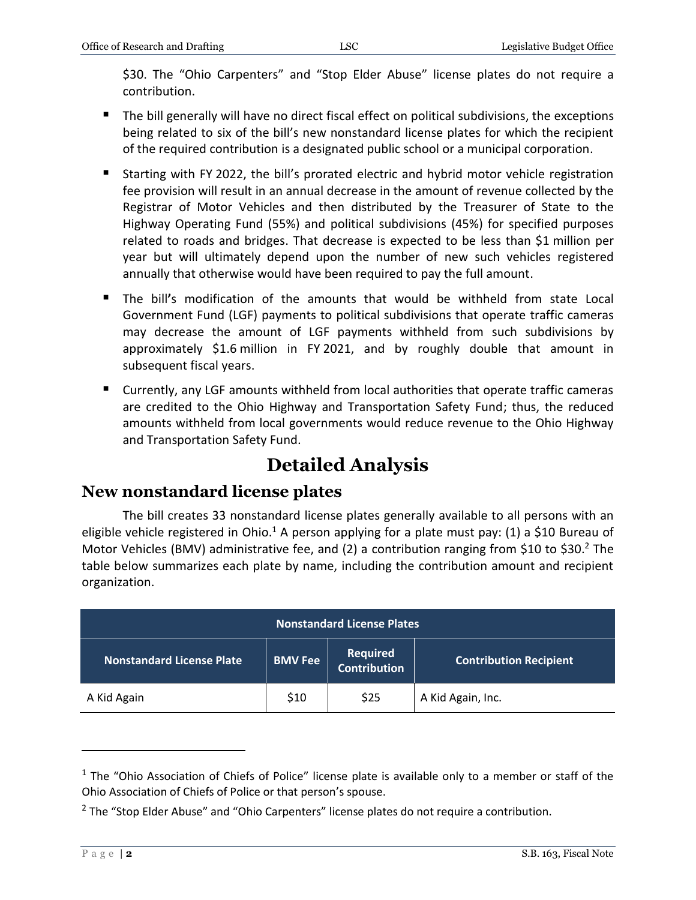\$30. The "Ohio Carpenters" and "Stop Elder Abuse" license plates do not require a contribution.

- The bill generally will have no direct fiscal effect on political subdivisions, the exceptions being related to six of the bill's new nonstandard license plates for which the recipient of the required contribution is a designated public school or a municipal corporation.
- Starting with FY 2022, the bill's prorated electric and hybrid motor vehicle registration fee provision will result in an annual decrease in the amount of revenue collected by the Registrar of Motor Vehicles and then distributed by the Treasurer of State to the Highway Operating Fund (55%) and political subdivisions (45%) for specified purposes related to roads and bridges. That decrease is expected to be less than \$1 million per year but will ultimately depend upon the number of new such vehicles registered annually that otherwise would have been required to pay the full amount.
- The bill**'**s modification of the amounts that would be withheld from state Local Government Fund (LGF) payments to political subdivisions that operate traffic cameras may decrease the amount of LGF payments withheld from such subdivisions by approximately \$1.6 million in FY 2021, and by roughly double that amount in subsequent fiscal years.
- Currently, any LGF amounts withheld from local authorities that operate traffic cameras are credited to the Ohio Highway and Transportation Safety Fund; thus, the reduced amounts withheld from local governments would reduce revenue to the Ohio Highway and Transportation Safety Fund.

# **Detailed Analysis**

# **New nonstandard license plates**

The bill creates 33 nonstandard license plates generally available to all persons with an eligible vehicle registered in Ohio.<sup>1</sup> A person applying for a plate must pay: (1) a \$10 Bureau of Motor Vehicles (BMV) administrative fee, and (2) a contribution ranging from \$10 to \$30.<sup>2</sup> The table below summarizes each plate by name, including the contribution amount and recipient organization.

| <b>Nonstandard License Plates</b> |                |                          |                               |  |  |
|-----------------------------------|----------------|--------------------------|-------------------------------|--|--|
| Nonstandard License Plate         | <b>BMV Fee</b> | Required<br>Contribution | <b>Contribution Recipient</b> |  |  |
| A Kid Again                       | \$10           | \$25                     | A Kid Again, Inc.             |  |  |

 $\overline{a}$ 

 $1$  The "Ohio Association of Chiefs of Police" license plate is available only to a member or staff of the Ohio Association of Chiefs of Police or that person's spouse.

<sup>&</sup>lt;sup>2</sup> The "Stop Elder Abuse" and "Ohio Carpenters" license plates do not require a contribution.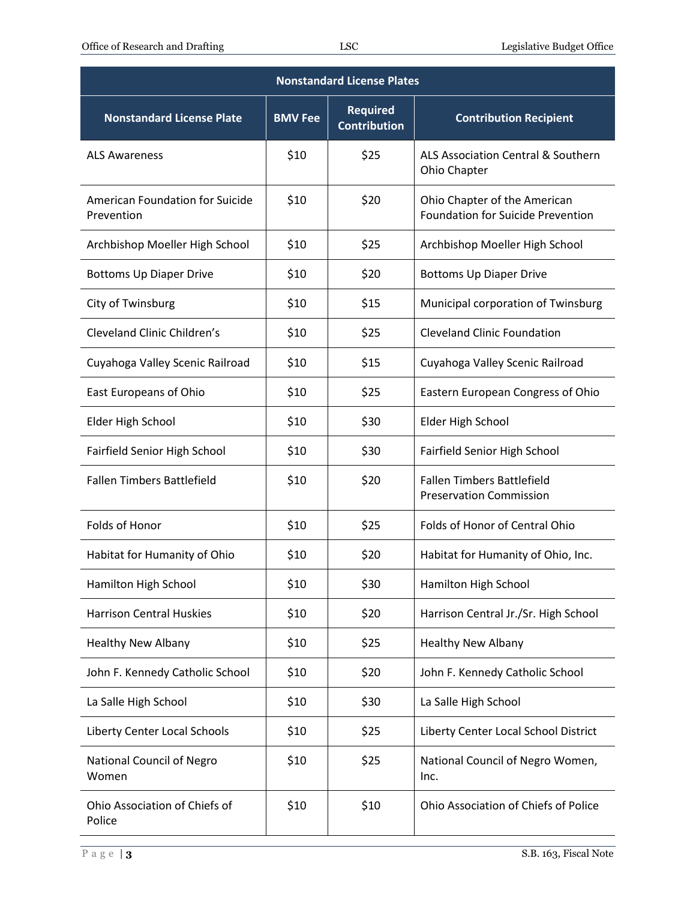| <b>Nonstandard License Plates</b>             |                |                                        |                                                                          |  |  |  |
|-----------------------------------------------|----------------|----------------------------------------|--------------------------------------------------------------------------|--|--|--|
| <b>Nonstandard License Plate</b>              | <b>BMV Fee</b> | <b>Required</b><br><b>Contribution</b> | <b>Contribution Recipient</b>                                            |  |  |  |
| <b>ALS Awareness</b>                          | \$10           | \$25                                   | ALS Association Central & Southern<br>Ohio Chapter                       |  |  |  |
| American Foundation for Suicide<br>Prevention | \$10           | \$20                                   | Ohio Chapter of the American<br><b>Foundation for Suicide Prevention</b> |  |  |  |
| Archbishop Moeller High School                | \$10           | \$25                                   | Archbishop Moeller High School                                           |  |  |  |
| <b>Bottoms Up Diaper Drive</b>                | \$10           | \$20                                   | <b>Bottoms Up Diaper Drive</b>                                           |  |  |  |
| City of Twinsburg                             | \$10           | \$15                                   | Municipal corporation of Twinsburg                                       |  |  |  |
| Cleveland Clinic Children's                   | \$10           | \$25                                   | <b>Cleveland Clinic Foundation</b>                                       |  |  |  |
| Cuyahoga Valley Scenic Railroad               | \$10           | \$15                                   | Cuyahoga Valley Scenic Railroad                                          |  |  |  |
| East Europeans of Ohio                        | \$10           | \$25                                   | Eastern European Congress of Ohio                                        |  |  |  |
| Elder High School                             | \$10           | \$30                                   | Elder High School                                                        |  |  |  |
| Fairfield Senior High School                  | \$10           | \$30                                   | Fairfield Senior High School                                             |  |  |  |
| <b>Fallen Timbers Battlefield</b>             | \$10           | \$20                                   | <b>Fallen Timbers Battlefield</b><br><b>Preservation Commission</b>      |  |  |  |
| Folds of Honor                                | \$10           | \$25                                   | Folds of Honor of Central Ohio                                           |  |  |  |
| Habitat for Humanity of Ohio                  | \$10           | \$20                                   | Habitat for Humanity of Ohio, Inc.                                       |  |  |  |
| Hamilton High School                          | \$10           | \$30                                   | Hamilton High School                                                     |  |  |  |
| <b>Harrison Central Huskies</b>               | \$10           | \$20                                   | Harrison Central Jr./Sr. High School                                     |  |  |  |
| <b>Healthy New Albany</b>                     | \$10           | \$25                                   | <b>Healthy New Albany</b>                                                |  |  |  |
| John F. Kennedy Catholic School               | \$10           | \$20                                   | John F. Kennedy Catholic School                                          |  |  |  |
| La Salle High School                          | \$10           | \$30                                   | La Salle High School                                                     |  |  |  |
| Liberty Center Local Schools                  | \$10           | \$25                                   | Liberty Center Local School District                                     |  |  |  |
| National Council of Negro<br>Women            | \$10           | \$25                                   | National Council of Negro Women,<br>Inc.                                 |  |  |  |
| Ohio Association of Chiefs of<br>Police       | \$10           | \$10                                   | Ohio Association of Chiefs of Police                                     |  |  |  |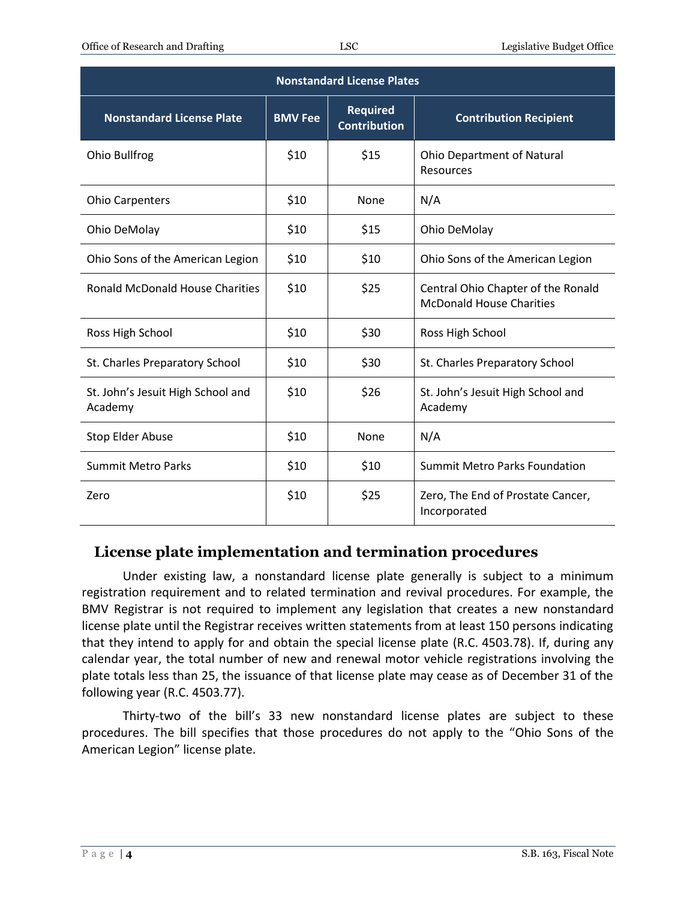| <b>Nonstandard License Plates</b>            |                |                                        |                                                                       |  |  |  |
|----------------------------------------------|----------------|----------------------------------------|-----------------------------------------------------------------------|--|--|--|
| <b>Nonstandard License Plate</b>             | <b>BMV Fee</b> | <b>Required</b><br><b>Contribution</b> | <b>Contribution Recipient</b>                                         |  |  |  |
| Ohio Bullfrog                                | \$10           | \$15                                   | <b>Ohio Department of Natural</b><br><b>Resources</b>                 |  |  |  |
| <b>Ohio Carpenters</b>                       | \$10           | None                                   | N/A                                                                   |  |  |  |
| Ohio DeMolay                                 | \$10           | \$15                                   | Ohio DeMolay                                                          |  |  |  |
| Ohio Sons of the American Legion             | \$10           | \$10                                   | Ohio Sons of the American Legion                                      |  |  |  |
| <b>Ronald McDonald House Charities</b>       | \$10           | \$25                                   | Central Ohio Chapter of the Ronald<br><b>McDonald House Charities</b> |  |  |  |
| Ross High School                             | \$10           | \$30                                   | Ross High School                                                      |  |  |  |
| St. Charles Preparatory School               | \$10           | \$30                                   | St. Charles Preparatory School                                        |  |  |  |
| St. John's Jesuit High School and<br>Academy | \$10           | \$26                                   | St. John's Jesuit High School and<br>Academy                          |  |  |  |
| Stop Elder Abuse                             | \$10           | None                                   | N/A                                                                   |  |  |  |
| <b>Summit Metro Parks</b>                    | \$10           | \$10                                   | <b>Summit Metro Parks Foundation</b>                                  |  |  |  |
| Zero                                         | \$10           | \$25                                   | Zero, The End of Prostate Cancer,<br>Incorporated                     |  |  |  |

# **License plate implementation and termination procedures**

Under existing law, a nonstandard license plate generally is subject to a minimum registration requirement and to related termination and revival procedures. For example, the BMV Registrar is not required to implement any legislation that creates a new nonstandard license plate until the Registrar receives written statements from at least 150 persons indicating that they intend to apply for and obtain the special license plate (R.C. 4503.78). If, during any calendar year, the total number of new and renewal motor vehicle registrations involving the plate totals less than 25, the issuance of that license plate may cease as of December 31 of the following year (R.C. 4503.77).

Thirty-two of the bill's 33 new nonstandard license plates are subject to these procedures. The bill specifies that those procedures do not apply to the "Ohio Sons of the American Legion" license plate.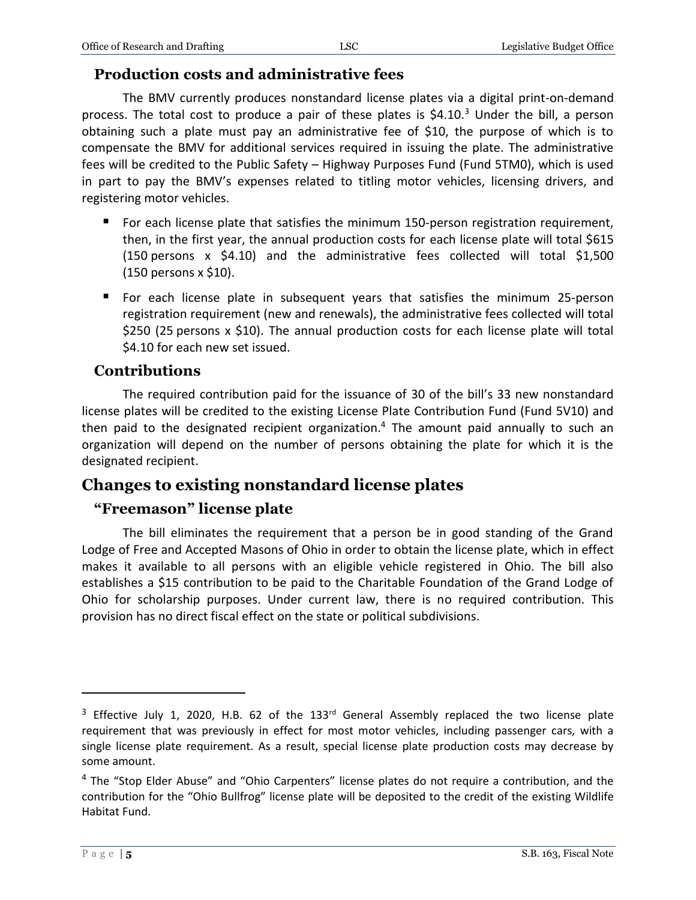#### **Production costs and administrative fees**

The BMV currently produces nonstandard license plates via a digital print-on-demand process. The total cost to produce a pair of these plates is  $$4.10<sup>3</sup>$  Under the bill, a person obtaining such a plate must pay an administrative fee of \$10, the purpose of which is to compensate the BMV for additional services required in issuing the plate. The administrative fees will be credited to the Public Safety – Highway Purposes Fund (Fund 5TM0), which is used in part to pay the BMV's expenses related to titling motor vehicles, licensing drivers, and registering motor vehicles.

- **For each license plate that satisfies the minimum 150-person registration requirement,** then, in the first year, the annual production costs for each license plate will total \$615 (150 persons x \$4.10) and the administrative fees collected will total \$1,500 (150 persons x \$10).
- For each license plate in subsequent years that satisfies the minimum 25-person registration requirement (new and renewals), the administrative fees collected will total \$250 (25 persons x \$10). The annual production costs for each license plate will total \$4.10 for each new set issued.

#### **Contributions**

The required contribution paid for the issuance of 30 of the bill's 33 new nonstandard license plates will be credited to the existing License Plate Contribution Fund (Fund 5V10) and then paid to the designated recipient organization.<sup>4</sup> The amount paid annually to such an organization will depend on the number of persons obtaining the plate for which it is the designated recipient.

# **Changes to existing nonstandard license plates**

#### **"Freemason" license plate**

The bill eliminates the requirement that a person be in good standing of the Grand Lodge of Free and Accepted Masons of Ohio in order to obtain the license plate, which in effect makes it available to all persons with an eligible vehicle registered in Ohio. The bill also establishes a \$15 contribution to be paid to the Charitable Foundation of the Grand Lodge of Ohio for scholarship purposes. Under current law, there is no required contribution. This provision has no direct fiscal effect on the state or political subdivisions.

 $\overline{a}$ 

 $3$  Effective July 1, 2020, H.B. 62 of the 133<sup>rd</sup> General Assembly replaced the two license plate requirement that was previously in effect for most motor vehicles, including passenger cars, with a single license plate requirement. As a result, special license plate production costs may decrease by some amount.

<sup>&</sup>lt;sup>4</sup> The "Stop Elder Abuse" and "Ohio Carpenters" license plates do not require a contribution, and the contribution for the "Ohio Bullfrog" license plate will be deposited to the credit of the existing Wildlife Habitat Fund.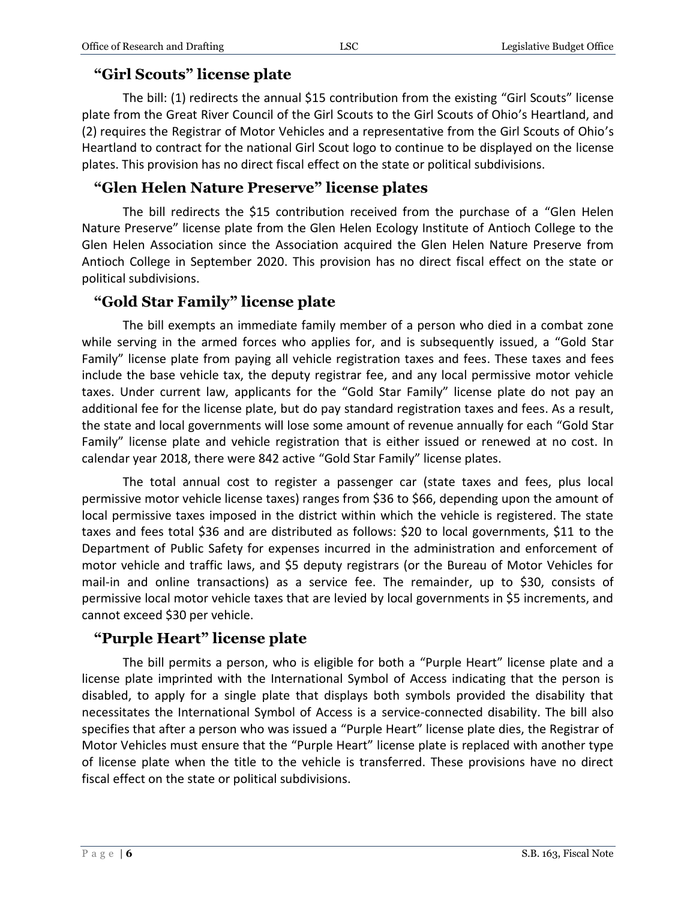# **"Girl Scouts" license plate**

The bill: (1) redirects the annual \$15 contribution from the existing "Girl Scouts" license plate from the Great River Council of the Girl Scouts to the Girl Scouts of Ohio's Heartland, and (2) requires the Registrar of Motor Vehicles and a representative from the Girl Scouts of Ohio's Heartland to contract for the national Girl Scout logo to continue to be displayed on the license plates. This provision has no direct fiscal effect on the state or political subdivisions.

# **"Glen Helen Nature Preserve" license plates**

The bill redirects the \$15 contribution received from the purchase of a "Glen Helen Nature Preserve" license plate from the Glen Helen Ecology Institute of Antioch College to the Glen Helen Association since the Association acquired the Glen Helen Nature Preserve from Antioch College in September 2020. This provision has no direct fiscal effect on the state or political subdivisions.

#### **"Gold Star Family" license plate**

The bill exempts an immediate family member of a person who died in a combat zone while serving in the armed forces who applies for, and is subsequently issued, a "Gold Star Family" license plate from paying all vehicle registration taxes and fees. These taxes and fees include the base vehicle tax, the deputy registrar fee, and any local permissive motor vehicle taxes. Under current law, applicants for the "Gold Star Family" license plate do not pay an additional fee for the license plate, but do pay standard registration taxes and fees. As a result, the state and local governments will lose some amount of revenue annually for each "Gold Star Family" license plate and vehicle registration that is either issued or renewed at no cost. In calendar year 2018, there were 842 active "Gold Star Family" license plates.

The total annual cost to register a passenger car (state taxes and fees, plus local permissive motor vehicle license taxes) ranges from \$36 to \$66, depending upon the amount of local permissive taxes imposed in the district within which the vehicle is registered. The state taxes and fees total \$36 and are distributed as follows: \$20 to local governments, \$11 to the Department of Public Safety for expenses incurred in the administration and enforcement of motor vehicle and traffic laws, and \$5 deputy registrars (or the Bureau of Motor Vehicles for mail-in and online transactions) as a service fee. The remainder, up to \$30, consists of permissive local motor vehicle taxes that are levied by local governments in \$5 increments, and cannot exceed \$30 per vehicle.

# **"Purple Heart" license plate**

The bill permits a person, who is eligible for both a "Purple Heart" license plate and a license plate imprinted with the International Symbol of Access indicating that the person is disabled, to apply for a single plate that displays both symbols provided the disability that necessitates the International Symbol of Access is a service-connected disability. The bill also specifies that after a person who was issued a "Purple Heart" license plate dies, the Registrar of Motor Vehicles must ensure that the "Purple Heart" license plate is replaced with another type of license plate when the title to the vehicle is transferred. These provisions have no direct fiscal effect on the state or political subdivisions.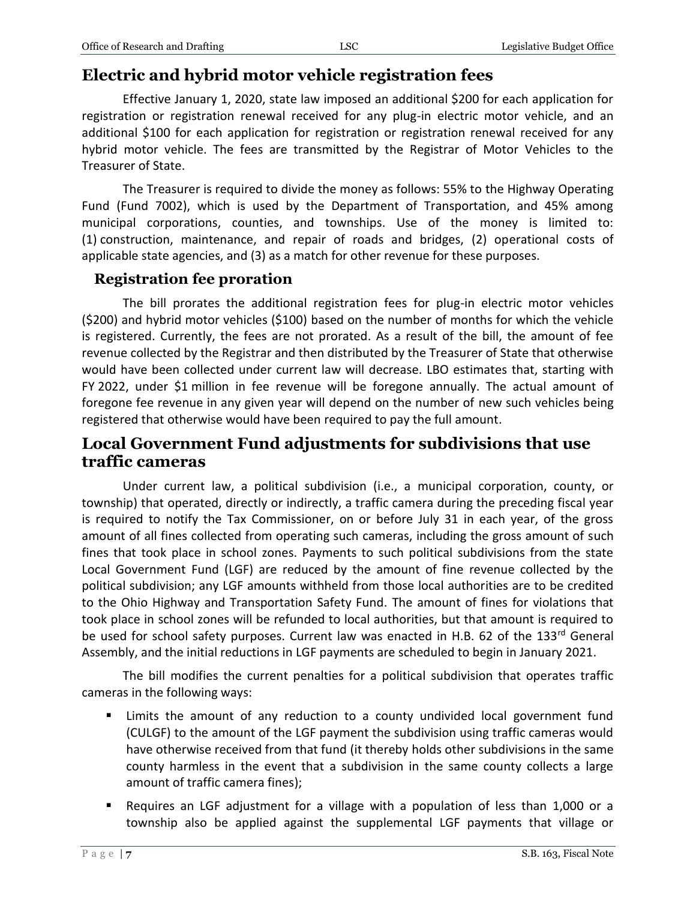# **Electric and hybrid motor vehicle registration fees**

Effective January 1, 2020, state law imposed an additional \$200 for each application for registration or registration renewal received for any plug-in electric motor vehicle, and an additional \$100 for each application for registration or registration renewal received for any hybrid motor vehicle. The fees are transmitted by the Registrar of Motor Vehicles to the Treasurer of State.

The Treasurer is required to divide the money as follows: 55% to the Highway Operating Fund (Fund 7002), which is used by the Department of Transportation, and 45% among municipal corporations, counties, and townships. Use of the money is limited to: (1) construction, maintenance, and repair of roads and bridges, (2) operational costs of applicable state agencies, and (3) as a match for other revenue for these purposes.

#### **Registration fee proration**

The bill prorates the additional registration fees for plug-in electric motor vehicles (\$200) and hybrid motor vehicles (\$100) based on the number of months for which the vehicle is registered. Currently, the fees are not prorated. As a result of the bill, the amount of fee revenue collected by the Registrar and then distributed by the Treasurer of State that otherwise would have been collected under current law will decrease. LBO estimates that, starting with FY 2022, under \$1 million in fee revenue will be foregone annually. The actual amount of foregone fee revenue in any given year will depend on the number of new such vehicles being registered that otherwise would have been required to pay the full amount.

# **Local Government Fund adjustments for subdivisions that use traffic cameras**

Under current law, a political subdivision (i.e., a municipal corporation, county, or township) that operated, directly or indirectly, a traffic camera during the preceding fiscal year is required to notify the Tax Commissioner, on or before July 31 in each year, of the gross amount of all fines collected from operating such cameras, including the gross amount of such fines that took place in school zones. Payments to such political subdivisions from the state Local Government Fund (LGF) are reduced by the amount of fine revenue collected by the political subdivision; any LGF amounts withheld from those local authorities are to be credited to the Ohio Highway and Transportation Safety Fund. The amount of fines for violations that took place in school zones will be refunded to local authorities, but that amount is required to be used for school safety purposes. Current law was enacted in H.B. 62 of the 133rd General Assembly, and the initial reductions in LGF payments are scheduled to begin in January 2021.

The bill modifies the current penalties for a political subdivision that operates traffic cameras in the following ways:

- Limits the amount of any reduction to a county undivided local government fund (CULGF) to the amount of the LGF payment the subdivision using traffic cameras would have otherwise received from that fund (it thereby holds other subdivisions in the same county harmless in the event that a subdivision in the same county collects a large amount of traffic camera fines);
- Requires an LGF adjustment for a village with a population of less than 1,000 or a township also be applied against the supplemental LGF payments that village or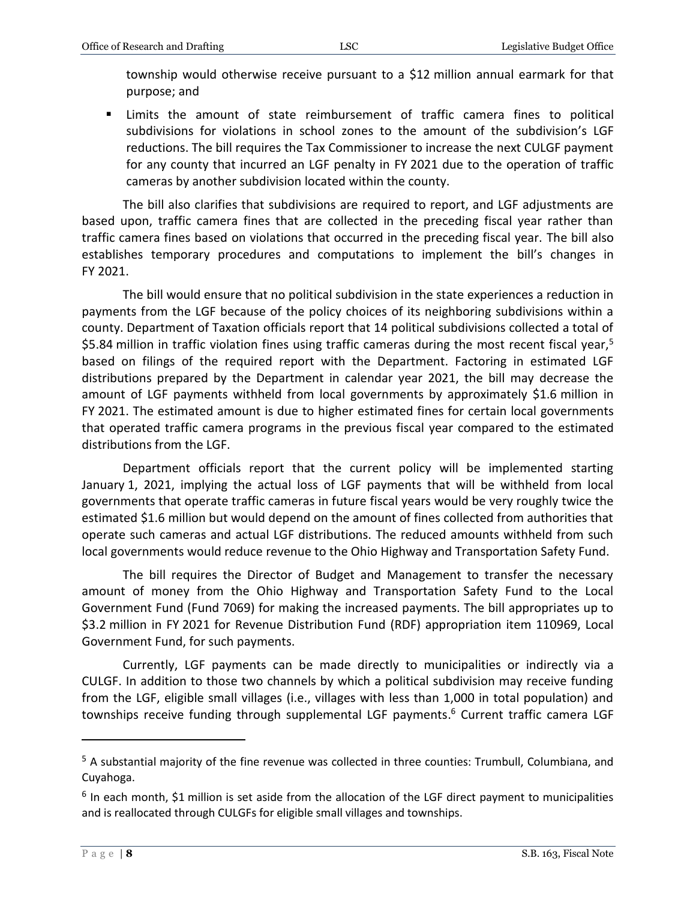township would otherwise receive pursuant to a \$12 million annual earmark for that purpose; and

 Limits the amount of state reimbursement of traffic camera fines to political subdivisions for violations in school zones to the amount of the subdivision's LGF reductions. The bill requires the Tax Commissioner to increase the next CULGF payment for any county that incurred an LGF penalty in FY 2021 due to the operation of traffic cameras by another subdivision located within the county.

The bill also clarifies that subdivisions are required to report, and LGF adjustments are based upon, traffic camera fines that are collected in the preceding fiscal year rather than traffic camera fines based on violations that occurred in the preceding fiscal year. The bill also establishes temporary procedures and computations to implement the bill's changes in FY 2021.

The bill would ensure that no political subdivision in the state experiences a reduction in payments from the LGF because of the policy choices of its neighboring subdivisions within a county. Department of Taxation officials report that 14 political subdivisions collected a total of \$5.84 million in traffic violation fines using traffic cameras during the most recent fiscal year,<sup>5</sup> based on filings of the required report with the Department. Factoring in estimated LGF distributions prepared by the Department in calendar year 2021, the bill may decrease the amount of LGF payments withheld from local governments by approximately \$1.6 million in FY 2021. The estimated amount is due to higher estimated fines for certain local governments that operated traffic camera programs in the previous fiscal year compared to the estimated distributions from the LGF.

Department officials report that the current policy will be implemented starting January 1, 2021, implying the actual loss of LGF payments that will be withheld from local governments that operate traffic cameras in future fiscal years would be very roughly twice the estimated \$1.6 million but would depend on the amount of fines collected from authorities that operate such cameras and actual LGF distributions. The reduced amounts withheld from such local governments would reduce revenue to the Ohio Highway and Transportation Safety Fund.

The bill requires the Director of Budget and Management to transfer the necessary amount of money from the Ohio Highway and Transportation Safety Fund to the Local Government Fund (Fund 7069) for making the increased payments. The bill appropriates up to \$3.2 million in FY 2021 for Revenue Distribution Fund (RDF) appropriation item 110969, Local Government Fund, for such payments.

Currently, LGF payments can be made directly to municipalities or indirectly via a CULGF. In addition to those two channels by which a political subdivision may receive funding from the LGF, eligible small villages (i.e., villages with less than 1,000 in total population) and townships receive funding through supplemental LGF payments. <sup>6</sup> Current traffic camera LGF

 $\overline{a}$ 

<sup>5</sup> A substantial majority of the fine revenue was collected in three counties: Trumbull, Columbiana, and Cuyahoga.

 $<sup>6</sup>$  In each month, \$1 million is set aside from the allocation of the LGF direct payment to municipalities</sup> and is reallocated through CULGFs for eligible small villages and townships.